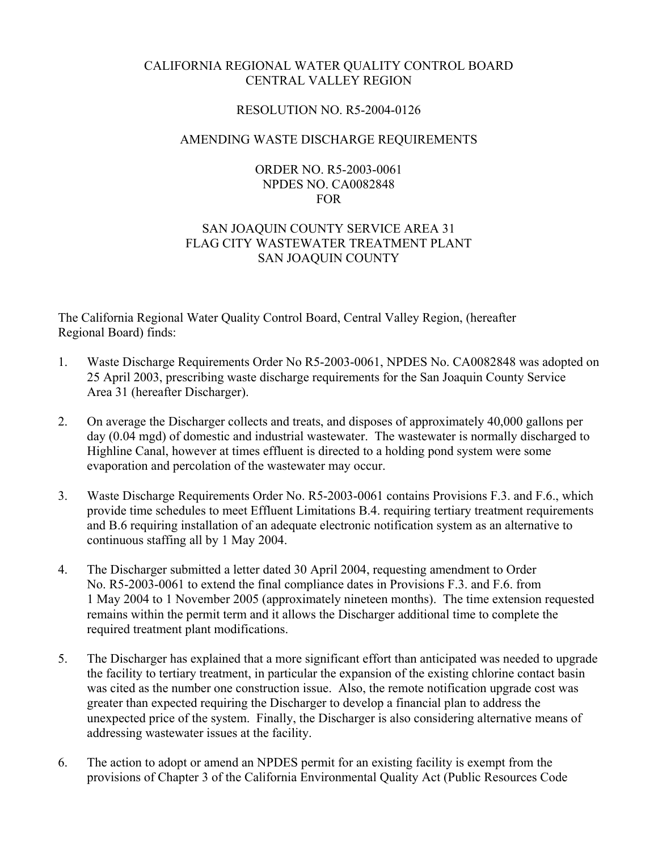## CALIFORNIA REGIONAL WATER QUALITY CONTROL BOARD CENTRAL VALLEY REGION

### RESOLUTION NO. R5-2004-0126

### AMENDING WASTE DISCHARGE REQUIREMENTS

#### ORDER NO. R5-2003-0061 NPDES NO. CA0082848 FOR

# SAN JOAQUIN COUNTY SERVICE AREA 31 FLAG CITY WASTEWATER TREATMENT PLANT SAN JOAQUIN COUNTY

The California Regional Water Quality Control Board, Central Valley Region, (hereafter Regional Board) finds:

- 1. Waste Discharge Requirements Order No R5-2003-0061, NPDES No. CA0082848 was adopted on 25 April 2003, prescribing waste discharge requirements for the San Joaquin County Service Area 31 (hereafter Discharger).
- 2. On average the Discharger collects and treats, and disposes of approximately 40,000 gallons per day (0.04 mgd) of domestic and industrial wastewater. The wastewater is normally discharged to Highline Canal, however at times effluent is directed to a holding pond system were some evaporation and percolation of the wastewater may occur.
- 3. Waste Discharge Requirements Order No. R5-2003-0061 contains Provisions F.3. and F.6., which provide time schedules to meet Effluent Limitations B.4. requiring tertiary treatment requirements and B.6 requiring installation of an adequate electronic notification system as an alternative to continuous staffing all by 1 May 2004.
- 4. The Discharger submitted a letter dated 30 April 2004, requesting amendment to Order No. R5-2003-0061 to extend the final compliance dates in Provisions F.3. and F.6. from 1 May 2004 to 1 November 2005 (approximately nineteen months). The time extension requested remains within the permit term and it allows the Discharger additional time to complete the required treatment plant modifications.
- 5. The Discharger has explained that a more significant effort than anticipated was needed to upgrade the facility to tertiary treatment, in particular the expansion of the existing chlorine contact basin was cited as the number one construction issue. Also, the remote notification upgrade cost was greater than expected requiring the Discharger to develop a financial plan to address the unexpected price of the system. Finally, the Discharger is also considering alternative means of addressing wastewater issues at the facility.
- 6. The action to adopt or amend an NPDES permit for an existing facility is exempt from the provisions of Chapter 3 of the California Environmental Quality Act (Public Resources Code